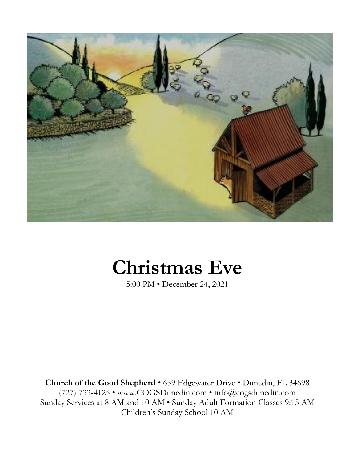

# **Christmas Eve**

5:00 PM • December 24, 2021

**Church of the Good Shepherd** • 639 Edgewater Drive • Dunedin, FL 34698 (727) 733-4125 • www.COGSDunedin.com • info@cogsdunedin.com Sunday Services at 8 AM and 10 AM • Sunday Adult Formation Classes 9:15 AM Children's Sunday School 10 AM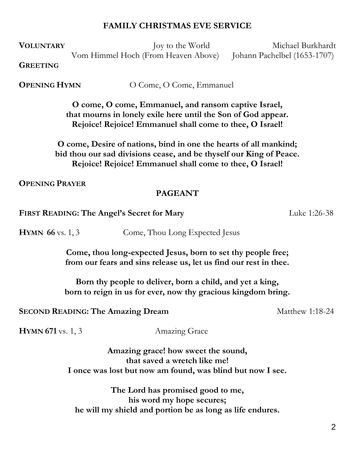#### **FAMILY CHRISTMAS EVE SERVICE**

**VOLUNTARY** Joy to the World Michael Burkhardt

Vom Himmel Hoch (From Heaven Above) Johann Pachelbel (1653-1707)

**GREETING**

**OPENING HYMN** O Come, O Come, Emmanuel

**O come, O come, Emmanuel, and ransom captive Israel, that mourns in lonely exile here until the Son of God appear. Rejoice! Rejoice! Emmanuel shall come to thee, O Israel!**

**O come, Desire of nations, bind in one the hearts of all mankind; bid thou our sad divisions cease, and be thyself our King of Peace. Rejoice! Rejoice! Emmanuel shall come to thee, O Israel!**

**OPENING PRAYER**

## **PAGEANT**

**FIRST READING: The Angel's Secret for Mary Luke 1:26-38** 

**HYMN 66** vs. 1, 3 Come, Thou Long Expected Jesus

**Come, thou long-expected Jesus, born to set thy people free; from our fears and sins release us, let us find our rest in thee.**

**Born thy people to deliver, born a child, and yet a king, born to reign in us for ever, now thy gracious kingdom bring.**

**SECOND READING: The Amazing Dream** Matthew 1:18-24

**HYMN** 671 vs. 1, 3 Amazing Grace

**Amazing grace! how sweet the sound, that saved a wretch like me! I once was lost but now am found, was blind but now I see.**

**The Lord has promised good to me, his word my hope secures; he will my shield and portion be as long as life endures.**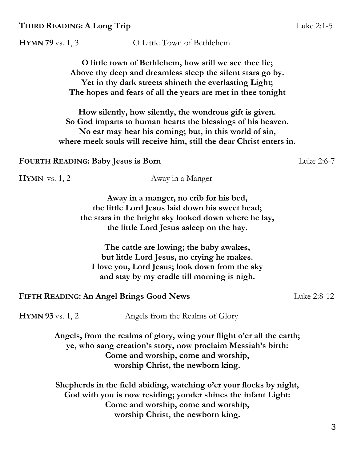**HYMN 79** vs. 1, 3 O Little Town of Bethlehem

**O little town of Bethlehem, how still we see thee lie; Above thy deep and dreamless sleep the silent stars go by. Yet in thy dark streets shineth the everlasting Light; The hopes and fears of all the years are met in thee tonight**

**How silently, how silently, the wondrous gift is given. So God imparts to human hearts the blessings of his heaven. No ear may hear his coming; but, in this world of sin, where meek souls will receive him, still the dear Christ enters in.**

**FOURTH READING: Baby Jesus is Born** Luke 2:6-7

**HYMN** vs. 1, 2 Away in a Manger

**Away in a manger, no crib for his bed, the little Lord Jesus laid down his sweet head; the stars in the bright sky looked down where he lay, the little Lord Jesus asleep on the hay.**

**The cattle are lowing; the baby awakes, but little Lord Jesus, no crying he makes. I love you, Lord Jesus; look down from the sky and stay by my cradle till morning is nigh.**

**FIFTH READING: An Angel Brings Good News** Luke 2:8-12

**HYMN** 93 vs. 1, 2 Angels from the Realms of Glory

**Angels, from the realms of glory, wing your flight o'er all the earth; ye, who sang creation's story, now proclaim Messiah's birth: Come and worship, come and worship, worship Christ, the newborn king.**

**Shepherds in the field abiding, watching o'er your flocks by night, God with you is now residing; yonder shines the infant Light: Come and worship, come and worship, worship Christ, the newborn king.**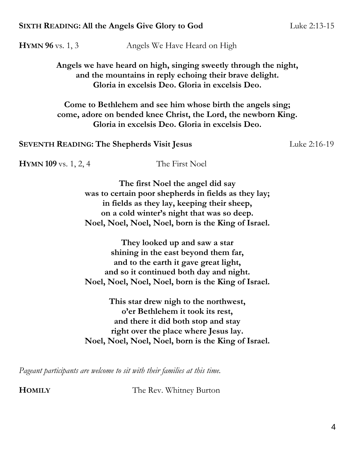#### **SIXTH READING: All the Angels Give Glory to God** Luke 2:13-15

**HYMN** 96 vs. 1, 3 Angels We Have Heard on High

**Angels we have heard on high, singing sweetly through the night, and the mountains in reply echoing their brave delight. Gloria in excelsis Deo. Gloria in excelsis Deo.**

**Come to Bethlehem and see him whose birth the angels sing; come, adore on bended knee Christ, the Lord, the newborn King. Gloria in excelsis Deo. Gloria in excelsis Deo.**

**SEVENTH READING: The Shepherds Visit Jesus Luke 2:16-19** 

**HYMN 109** vs. 1, 2, 4 The First Noel

**The first Noel the angel did say was to certain poor shepherds in fields as they lay; in fields as they lay, keeping their sheep, on a cold winter's night that was so deep. Noel, Noel, Noel, Noel, born is the King of Israel.**

**They looked up and saw a star shining in the east beyond them far, and to the earth it gave great light, and so it continued both day and night. Noel, Noel, Noel, Noel, born is the King of Israel.**

**This star drew nigh to the northwest, o'er Bethlehem it took its rest, and there it did both stop and stay right over the place where Jesus lay. Noel, Noel, Noel, Noel, born is the King of Israel.**

*Pageant participants are welcome to sit with their families at this time.*

**HOMILY** The Rev. Whitney Burton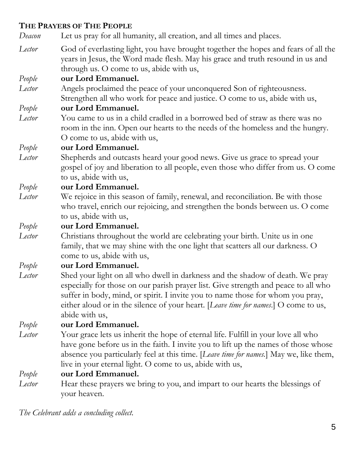# **THE PRAYERS OF THE PEOPLE**

*Deacon* Let us pray for all humanity, all creation, and all times and places.

*Lector* God of everlasting light, you have brought together the hopes and fears of all the years in Jesus, the Word made flesh. May his grace and truth resound in us and through us. O come to us, abide with us,

# *People* **our Lord Emmanuel.**

*Lector* Angels proclaimed the peace of your unconquered Son of righteousness. Strengthen all who work for peace and justice. O come to us, abide with us,

# *People* **our Lord Emmanuel.**

*Lector* You came to us in a child cradled in a borrowed bed of straw as there was no room in the inn. Open our hearts to the needs of the homeless and the hungry. O come to us, abide with us,

## *People* **our Lord Emmanuel.**

*Lector* Shepherds and outcasts heard your good news. Give us grace to spread your gospel of joy and liberation to all people, even those who differ from us. O come to us, abide with us,

## *People* **our Lord Emmanuel.**

*Lector* We rejoice in this season of family, renewal, and reconciliation. Be with those who travel, enrich our rejoicing, and strengthen the bonds between us. O come to us, abide with us,

*People* **our Lord Emmanuel.**

*Lector* Christians throughout the world are celebrating your birth. Unite us in one family, that we may shine with the one light that scatters all our darkness. O come to us, abide with us,

## *People* **our Lord Emmanuel.**

*Lector* Shed your light on all who dwell in darkness and the shadow of death. We pray especially for those on our parish prayer list. Give strength and peace to all who suffer in body, mind, or spirit. I invite you to name those for whom you pray, either aloud or in the silence of your heart. [*Leave time for names*.] O come to us, abide with us,

*People* **our Lord Emmanuel.**

*Lector* Your grace lets us inherit the hope of eternal life. Fulfill in your love all who have gone before us in the faith. I invite you to lift up the names of those whose absence you particularly feel at this time. [*Leave time for names.*] May we, like them, live in your eternal light. O come to us, abide with us,

# *People* **our Lord Emmanuel.**

*Lector* Hear these prayers we bring to you, and impart to our hearts the blessings of your heaven.

*The Celebrant adds a concluding collect.*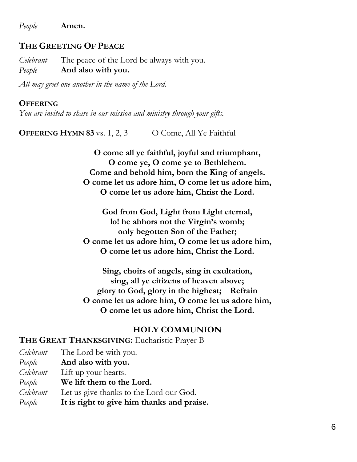*People* **Amen.**

#### **THE GREETING OF PEACE**

*Celebrant* The peace of the Lord be always with you. *People* **And also with you.**

*All may greet one another in the name of the Lord.*

#### **OFFERING**

*You are invited to share in our mission and ministry through your gifts.*

**OFFERING HYMN 83** vs. 1, 2, 3 O Come, All Ye Faithful

**O come all ye faithful, joyful and triumphant, O come ye, O come ye to Bethlehem. Come and behold him, born the King of angels. O come let us adore him, O come let us adore him, O come let us adore him, Christ the Lord.**

**God from God, Light from Light eternal, lo! he abhors not the Virgin's womb; only begotten Son of the Father; O come let us adore him, O come let us adore him, O come let us adore him, Christ the Lord.**

**Sing, choirs of angels, sing in exultation, sing, all ye citizens of heaven above; glory to God, glory in the highest; Refrain O come let us adore him, O come let us adore him, O come let us adore him, Christ the Lord.**

#### **HOLY COMMUNION**

**THE GREAT THANKSGIVING:** Eucharistic Prayer B

| Celebrant | The Lord be with you.                      |
|-----------|--------------------------------------------|
| People    | And also with you.                         |
| Celebrant | Lift up your hearts.                       |
| People    | We lift them to the Lord.                  |
| Celebrant | Let us give thanks to the Lord our God.    |
| People    | It is right to give him thanks and praise. |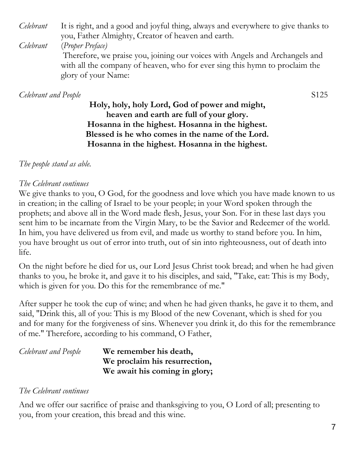*Celebrant* It is right, and a good and joyful thing, always and everywhere to give thanks to you, Father Almighty, Creator of heaven and earth.

*Celebrant* (*Proper Preface)*

Therefore, we praise you, joining our voices with Angels and Archangels and with all the company of heaven, who for ever sing this hymn to proclaim the glory of your Name:

## *Celebrant and People* S125

**Holy, holy, holy Lord, God of power and might, heaven and earth are full of your glory. Hosanna in the highest. Hosanna in the highest. Blessed is he who comes in the name of the Lord. Hosanna in the highest. Hosanna in the highest.**

# *The people stand as able.*

# *The Celebrant continues*

We give thanks to you, O God, for the goodness and love which you have made known to us in creation; in the calling of Israel to be your people; in your Word spoken through the prophets; and above all in the Word made flesh, Jesus, your Son. For in these last days you sent him to be incarnate from the Virgin Mary, to be the Savior and Redeemer of the world. In him, you have delivered us from evil, and made us worthy to stand before you. In him, you have brought us out of error into truth, out of sin into righteousness, out of death into life.

On the night before he died for us, our Lord Jesus Christ took bread; and when he had given thanks to you, he broke it, and gave it to his disciples, and said, "Take, eat: This is my Body, which is given for you. Do this for the remembrance of me."

After supper he took the cup of wine; and when he had given thanks, he gave it to them, and said, "Drink this, all of you: This is my Blood of the new Covenant, which is shed for you and for many for the forgiveness of sins. Whenever you drink it, do this for the remembrance of me." Therefore, according to his command, O Father,

| Celebrant and People | We remember his death,        |
|----------------------|-------------------------------|
|                      | We proclaim his resurrection, |
|                      | We await his coming in glory; |

# *The Celebrant continues*

And we offer our sacrifice of praise and thanksgiving to you, O Lord of all; presenting to you, from your creation, this bread and this wine.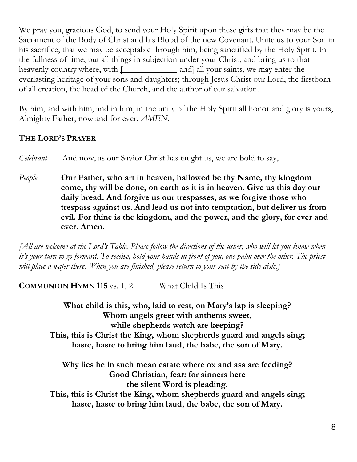We pray you, gracious God, to send your Holy Spirit upon these gifts that they may be the Sacrament of the Body of Christ and his Blood of the new Covenant. Unite us to your Son in his sacrifice, that we may be acceptable through him, being sanctified by the Holy Spirit. In the fullness of time, put all things in subjection under your Christ, and bring us to that heavenly country where, with  $\Box$  and all your saints, we may enter the everlasting heritage of your sons and daughters; through Jesus Christ our Lord, the firstborn of all creation, the head of the Church, and the author of our salvation.

By him, and with him, and in him, in the unity of the Holy Spirit all honor and glory is yours, Almighty Father, now and for ever. *AMEN.*

# **THE LORD'S PRAYER**

*Celebrant* And now, as our Savior Christ has taught us, we are bold to say,

*People* **Our Father, who art in heaven, hallowed be thy Name, thy kingdom come, thy will be done, on earth as it is in heaven. Give us this day our daily bread. And forgive us our trespasses, as we forgive those who trespass against us. And lead us not into temptation, but deliver us from evil. For thine is the kingdom, and the power, and the glory, for ever and ever. Amen.**

*[All are welcome at the Lord's Table. Please follow the directions of the usher, who will let you know when it's your turn to go forward. To receive, hold your hands in front of you, one palm over the other. The priest will place a wafer there. When you are finished, please return to your seat by the side aisle.]*

**COMMUNION HYMN 115** vs. 1, 2 What Child Is This

**What child is this, who, laid to rest, on Mary's lap is sleeping? Whom angels greet with anthems sweet, while shepherds watch are keeping? This, this is Christ the King, whom shepherds guard and angels sing; haste, haste to bring him laud, the babe, the son of Mary.**

**Why lies he in such mean estate where ox and ass are feeding? Good Christian, fear: for sinners here the silent Word is pleading.**

**This, this is Christ the King, whom shepherds guard and angels sing; haste, haste to bring him laud, the babe, the son of Mary.**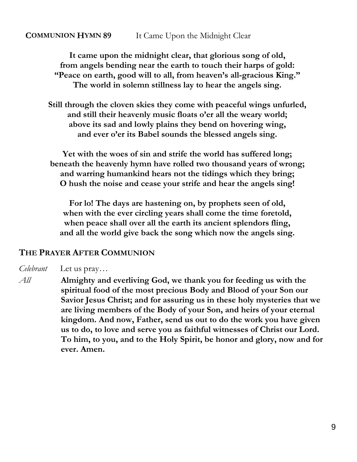#### **COMMUNION HYMN 89** It Came Upon the Midnight Clear

**It came upon the midnight clear, that glorious song of old, from angels bending near the earth to touch their harps of gold: "Peace on earth, good will to all, from heaven's all-gracious King." The world in solemn stillness lay to hear the angels sing.**

**Still through the cloven skies they come with peaceful wings unfurled, and still their heavenly music floats o'er all the weary world; above its sad and lowly plains they bend on hovering wing, and ever o'er its Babel sounds the blessed angels sing.**

**Yet with the woes of sin and strife the world has suffered long; beneath the heavenly hymn have rolled two thousand years of wrong; and warring humankind hears not the tidings which they bring; O hush the noise and cease your strife and hear the angels sing!**

**For lo! The days are hastening on, by prophets seen of old, when with the ever circling years shall come the time foretold, when peace shall over all the earth its ancient splendors fling, and all the world give back the song which now the angels sing.**

#### **THE PRAYER AFTER COMMUNION**

*Celebrant* Let us pray…

*All* **Almighty and everliving God, we thank you for feeding us with the spiritual food of the most precious Body and Blood of your Son our Savior Jesus Christ; and for assuring us in these holy mysteries that we are living members of the Body of your Son, and heirs of your eternal kingdom. And now, Father, send us out to do the work you have given us to do, to love and serve you as faithful witnesses of Christ our Lord. To him, to you, and to the Holy Spirit, be honor and glory, now and for ever. Amen.**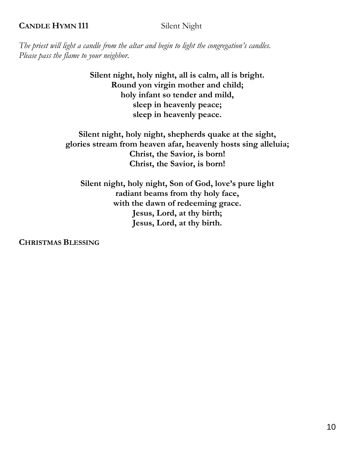#### **CANDLE HYMN 111** Silent Night

*The priest will light a candle from the altar and begin to light the congregation's candles. Please pass the flame to your neighbor.*

> **Silent night, holy night, all is calm, all is bright. Round yon virgin mother and child; holy infant so tender and mild, sleep in heavenly peace; sleep in heavenly peace.**

**Silent night, holy night, shepherds quake at the sight, glories stream from heaven afar, heavenly hosts sing alleluia; Christ, the Savior, is born! Christ, the Savior, is born!**

**Silent night, holy night, Son of God, love's pure light radiant beams from thy holy face, with the dawn of redeeming grace. Jesus, Lord, at thy birth; Jesus, Lord, at thy birth.**

**CHRISTMAS BLESSING**